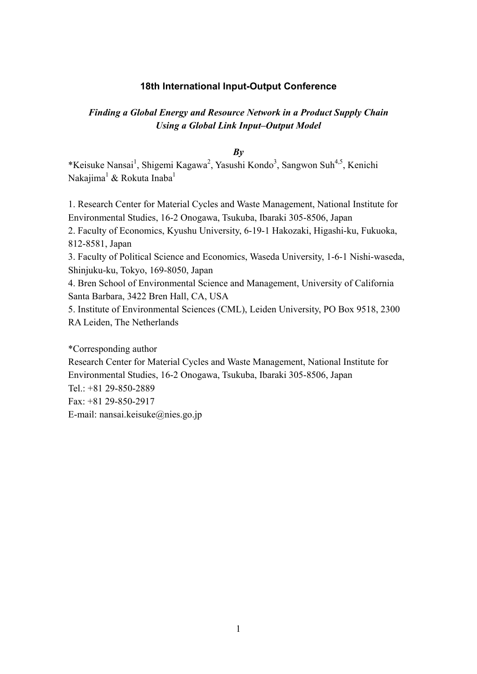#### **18th International Input-Output Conference**

# *Finding a Global Energy and Resource Network in a Product Supply Chain Using a Global Link Input–Output Model*

*By*

\*Keisuke Nansai<sup>1</sup>, Shigemi Kagawa<sup>2</sup>, Yasushi Kondo<sup>3</sup>, Sangwon Suh<sup>4,5</sup>, Kenichi Nakajima<sup>1</sup> & Rokuta Inaba<sup>1</sup>

1. Research Center for Material Cycles and Waste Management, National Institute for Environmental Studies, 16-2 Onogawa, Tsukuba, Ibaraki 305-8506, Japan

2. Faculty of Economics, Kyushu University, 6-19-1 Hakozaki, Higashi-ku, Fukuoka, 812-8581, Japan

3. Faculty of Political Science and Economics, Waseda University, 1-6-1 Nishi-waseda, Shinjuku-ku, Tokyo, 169-8050, Japan

4. Bren School of Environmental Science and Management, University of California Santa Barbara, 3422 Bren Hall, CA, USA

5. Institute of Environmental Sciences (CML), Leiden University, PO Box 9518, 2300 RA Leiden, The Netherlands

\*Corresponding author Research Center for Material Cycles and Waste Management, National Institute for Environmental Studies, 16-2 Onogawa, Tsukuba, Ibaraki 305-8506, Japan Tel.: +81 29-850-2889 Fax: +81 29-850-2917 E-mail: nansai.keisuke@nies.go.jp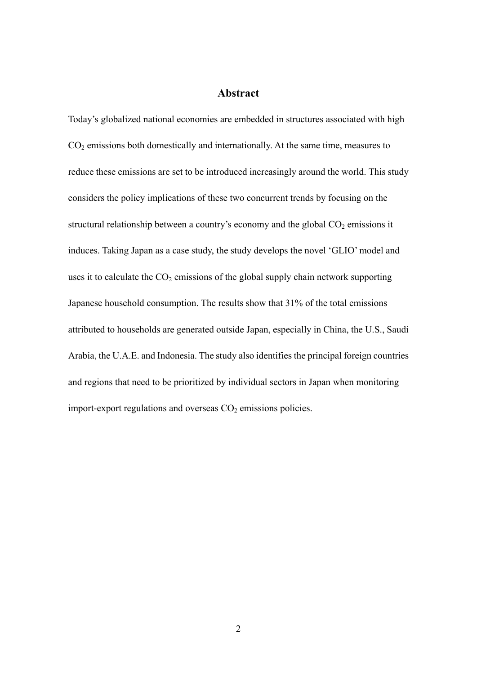## **Abstract**

Today's globalized national economies are embedded in structures associated with high  $CO<sub>2</sub>$  emissions both domestically and internationally. At the same time, measures to reduce these emissions are set to be introduced increasingly around the world. This study considers the policy implications of these two concurrent trends by focusing on the structural relationship between a country's economy and the global  $CO<sub>2</sub>$  emissions it induces. Taking Japan as a case study, the study develops the novel 'GLIO' model and uses it to calculate the  $CO<sub>2</sub>$  emissions of the global supply chain network supporting Japanese household consumption. The results show that 31% of the total emissions attributed to households are generated outside Japan, especially in China, the U.S., Saudi Arabia, the U.A.E. and Indonesia. The study also identifies the principal foreign countries and regions that need to be prioritized by individual sectors in Japan when monitoring import-export regulations and overseas  $CO<sub>2</sub>$  emissions policies.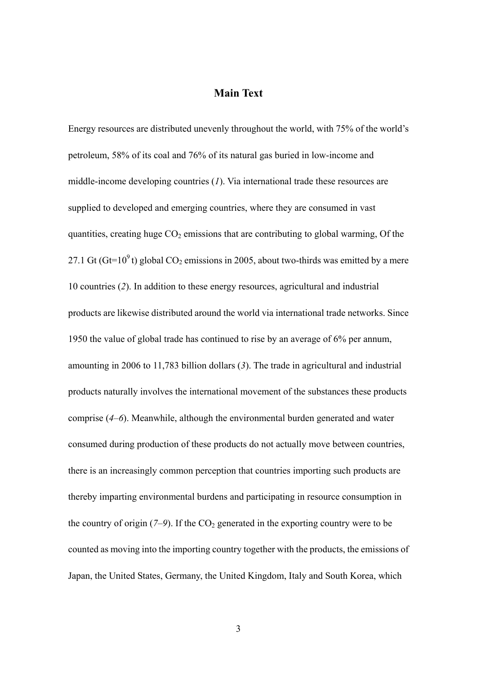## **Main Text**

Energy resources are distributed unevenly throughout the world, with 75% of the world's petroleum, 58% of its coal and 76% of its natural gas buried in low-income and middle-income developing countries (*1*). Via international trade these resources are supplied to developed and emerging countries, where they are consumed in vast quantities, creating huge  $CO<sub>2</sub>$  emissions that are contributing to global warming, Of the 27.1 Gt (Gt=10<sup>9</sup>t) global CO<sub>2</sub> emissions in 2005, about two-thirds was emitted by a mere 10 countries (*2*). In addition to these energy resources, agricultural and industrial products are likewise distributed around the world via international trade networks. Since 1950 the value of global trade has continued to rise by an average of 6% per annum, amounting in 2006 to 11,783 billion dollars (*3*). The trade in agricultural and industrial products naturally involves the international movement of the substances these products comprise (*4–6*). Meanwhile, although the environmental burden generated and water consumed during production of these products do not actually move between countries, there is an increasingly common perception that countries importing such products are thereby imparting environmental burdens and participating in resource consumption in the country of origin  $(7-9)$ . If the CO<sub>2</sub> generated in the exporting country were to be counted as moving into the importing country together with the products, the emissions of Japan, the United States, Germany, the United Kingdom, Italy and South Korea, which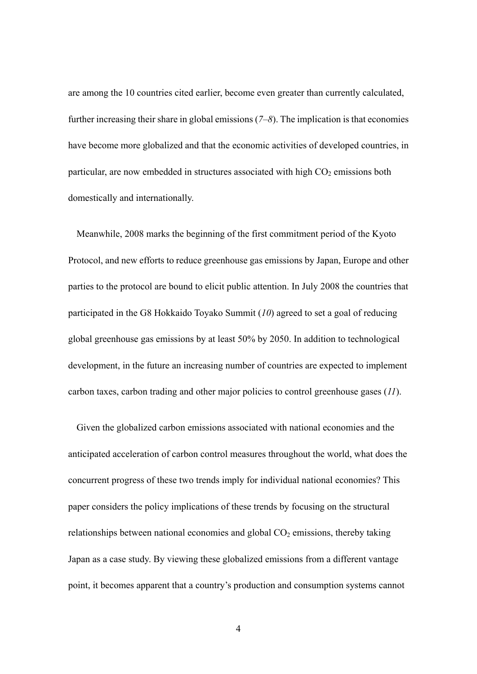are among the 10 countries cited earlier, become even greater than currently calculated, further increasing their share in global emissions (*7–8*). The implication is that economies have become more globalized and that the economic activities of developed countries, in particular, are now embedded in structures associated with high  $CO<sub>2</sub>$  emissions both domestically and internationally.

Meanwhile, 2008 marks the beginning of the first commitment period of the Kyoto Protocol, and new efforts to reduce greenhouse gas emissions by Japan, Europe and other parties to the protocol are bound to elicit public attention. In July 2008 the countries that participated in the G8 Hokkaido Toyako Summit (*10*) agreed to set a goal of reducing global greenhouse gas emissions by at least 50% by 2050. In addition to technological development, in the future an increasing number of countries are expected to implement carbon taxes, carbon trading and other major policies to control greenhouse gases (*11*).

Given the globalized carbon emissions associated with national economies and the anticipated acceleration of carbon control measures throughout the world, what does the concurrent progress of these two trends imply for individual national economies? This paper considers the policy implications of these trends by focusing on the structural relationships between national economies and global  $CO<sub>2</sub>$  emissions, thereby taking Japan as a case study. By viewing these globalized emissions from a different vantage point, it becomes apparent that a country's production and consumption systems cannot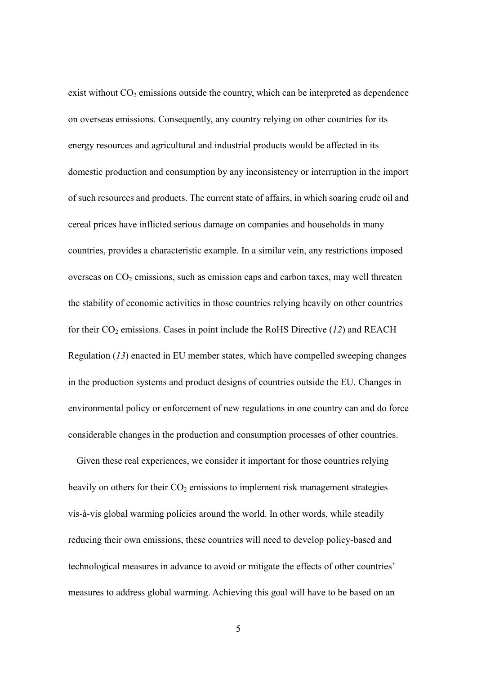exist without  $CO<sub>2</sub>$  emissions outside the country, which can be interpreted as dependence on overseas emissions. Consequently, any country relying on other countries for its energy resources and agricultural and industrial products would be affected in its domestic production and consumption by any inconsistency or interruption in the import of such resources and products. The current state of affairs, in which soaring crude oil and cereal prices have inflicted serious damage on companies and households in many countries, provides a characteristic example. In a similar vein, any restrictions imposed overseas on  $CO<sub>2</sub>$  emissions, such as emission caps and carbon taxes, may well threaten the stability of economic activities in those countries relying heavily on other countries for their  $CO<sub>2</sub>$  emissions. Cases in point include the RoHS Directive ( $12$ ) and REACH Regulation (*13*) enacted in EU member states, which have compelled sweeping changes in the production systems and product designs of countries outside the EU. Changes in environmental policy or enforcement of new regulations in one country can and do force considerable changes in the production and consumption processes of other countries.

Given these real experiences, we consider it important for those countries relying heavily on others for their  $CO<sub>2</sub>$  emissions to implement risk management strategies vis-à-vis global warming policies around the world. In other words, while steadily reducing their own emissions, these countries will need to develop policy-based and technological measures in advance to avoid or mitigate the effects of other countries' measures to address global warming. Achieving this goal will have to be based on an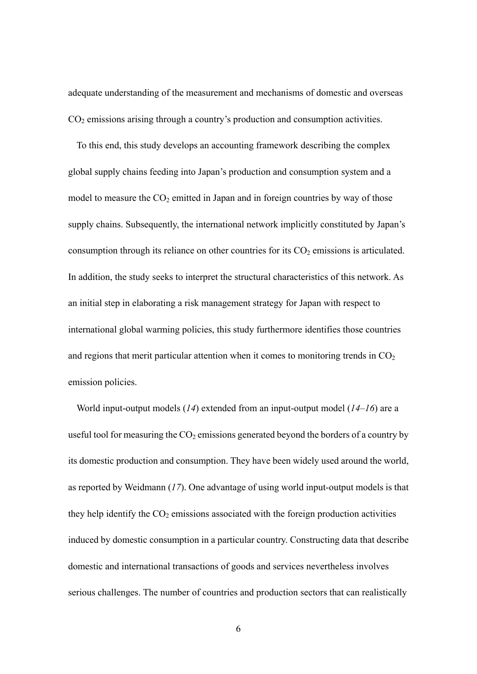adequate understanding of the measurement and mechanisms of domestic and overseas  $CO<sub>2</sub>$  emissions arising through a country's production and consumption activities.

To this end, this study develops an accounting framework describing the complex global supply chains feeding into Japan's production and consumption system and a model to measure the  $CO<sub>2</sub>$  emitted in Japan and in foreign countries by way of those supply chains. Subsequently, the international network implicitly constituted by Japan's consumption through its reliance on other countries for its  $CO<sub>2</sub>$  emissions is articulated. In addition, the study seeks to interpret the structural characteristics of this network. As an initial step in elaborating a risk management strategy for Japan with respect to international global warming policies, this study furthermore identifies those countries and regions that merit particular attention when it comes to monitoring trends in  $CO<sub>2</sub>$ emission policies.

World input-output models (*14*) extended from an input-output model (*14–16*) are a useful tool for measuring the  $CO<sub>2</sub>$  emissions generated beyond the borders of a country by its domestic production and consumption. They have been widely used around the world, as reported by Weidmann (*17*). One advantage of using world input-output models is that they help identify the  $CO<sub>2</sub>$  emissions associated with the foreign production activities induced by domestic consumption in a particular country. Constructing data that describe domestic and international transactions of goods and services nevertheless involves serious challenges. The number of countries and production sectors that can realistically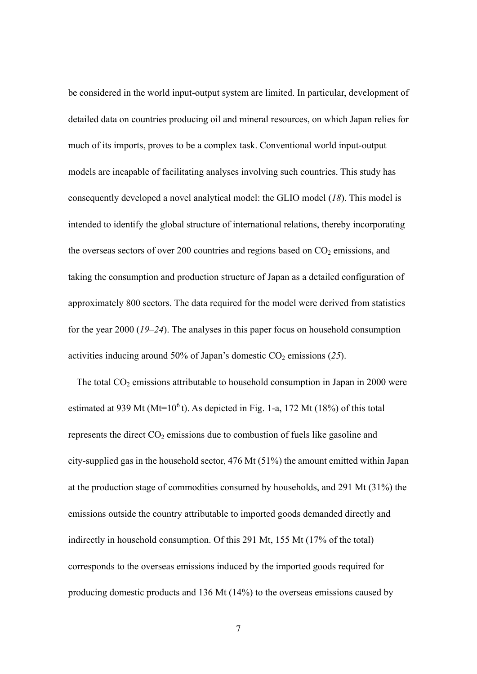be considered in the world input-output system are limited. In particular, development of detailed data on countries producing oil and mineral resources, on which Japan relies for much of its imports, proves to be a complex task. Conventional world input-output models are incapable of facilitating analyses involving such countries. This study has consequently developed a novel analytical model: the GLIO model (*18*). This model is intended to identify the global structure of international relations, thereby incorporating the overseas sectors of over 200 countries and regions based on  $CO<sub>2</sub>$  emissions, and taking the consumption and production structure of Japan as a detailed configuration of approximately 800 sectors. The data required for the model were derived from statistics for the year 2000 (*19–24*). The analyses in this paper focus on household consumption activities inducing around 50% of Japan's domestic  $CO_2$  emissions (25).

The total  $CO<sub>2</sub>$  emissions attributable to household consumption in Japan in 2000 were estimated at 939 Mt (Mt= $10<sup>6</sup>$ t). As depicted in Fig. 1-a, 172 Mt (18%) of this total represents the direct  $CO<sub>2</sub>$  emissions due to combustion of fuels like gasoline and city-supplied gas in the household sector, 476 Mt (51%) the amount emitted within Japan at the production stage of commodities consumed by households, and 291 Mt (31%) the emissions outside the country attributable to imported goods demanded directly and indirectly in household consumption. Of this 291 Mt, 155 Mt (17% of the total) corresponds to the overseas emissions induced by the imported goods required for producing domestic products and 136 Mt (14%) to the overseas emissions caused by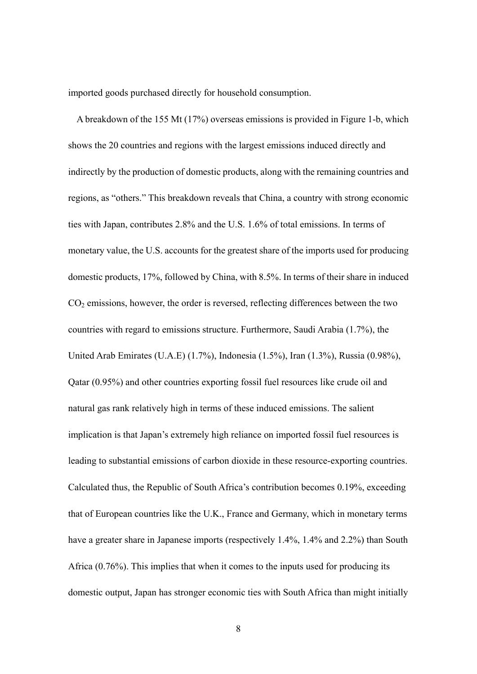imported goods purchased directly for household consumption.

A breakdown of the 155 Mt (17%) overseas emissions is provided in Figure 1-b, which shows the 20 countries and regions with the largest emissions induced directly and indirectly by the production of domestic products, along with the remaining countries and regions, as "others." This breakdown reveals that China, a country with strong economic ties with Japan, contributes 2.8% and the U.S. 1.6% of total emissions. In terms of monetary value, the U.S. accounts for the greatest share of the imports used for producing domestic products, 17%, followed by China, with 8.5%. In terms of their share in induced  $CO<sub>2</sub>$  emissions, however, the order is reversed, reflecting differences between the two countries with regard to emissions structure. Furthermore, Saudi Arabia (1.7%), the United Arab Emirates (U.A.E) (1.7%), Indonesia (1.5%), Iran (1.3%), Russia (0.98%), Qatar (0.95%) and other countries exporting fossil fuel resources like crude oil and natural gas rank relatively high in terms of these induced emissions. The salient implication is that Japan's extremely high reliance on imported fossil fuel resources is leading to substantial emissions of carbon dioxide in these resource-exporting countries. Calculated thus, the Republic of South Africa's contribution becomes 0.19%, exceeding that of European countries like the U.K., France and Germany, which in monetary terms have a greater share in Japanese imports (respectively 1.4%, 1.4% and 2.2%) than South Africa (0.76%). This implies that when it comes to the inputs used for producing its domestic output, Japan has stronger economic ties with South Africa than might initially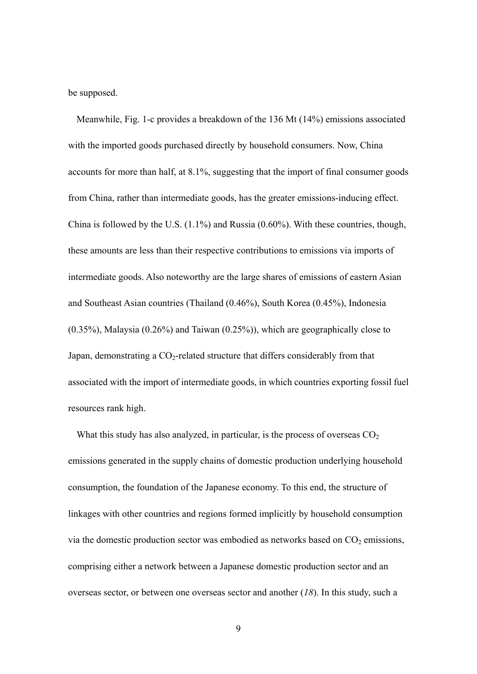be supposed.

Meanwhile, Fig. 1-c provides a breakdown of the 136 Mt (14%) emissions associated with the imported goods purchased directly by household consumers. Now, China accounts for more than half, at 8.1%, suggesting that the import of final consumer goods from China, rather than intermediate goods, has the greater emissions-inducing effect. China is followed by the U.S. (1.1%) and Russia (0.60%). With these countries, though, these amounts are less than their respective contributions to emissions via imports of intermediate goods. Also noteworthy are the large shares of emissions of eastern Asian and Southeast Asian countries (Thailand (0.46%), South Korea (0.45%), Indonesia (0.35%), Malaysia (0.26%) and Taiwan (0.25%)), which are geographically close to Japan, demonstrating a  $CO<sub>2</sub>$ -related structure that differs considerably from that associated with the import of intermediate goods, in which countries exporting fossil fuel resources rank high.

What this study has also analyzed, in particular, is the process of overseas  $CO<sub>2</sub>$ emissions generated in the supply chains of domestic production underlying household consumption, the foundation of the Japanese economy. To this end, the structure of linkages with other countries and regions formed implicitly by household consumption via the domestic production sector was embodied as networks based on  $CO<sub>2</sub>$  emissions, comprising either a network between a Japanese domestic production sector and an overseas sector, or between one overseas sector and another (*18*). In this study, such a

9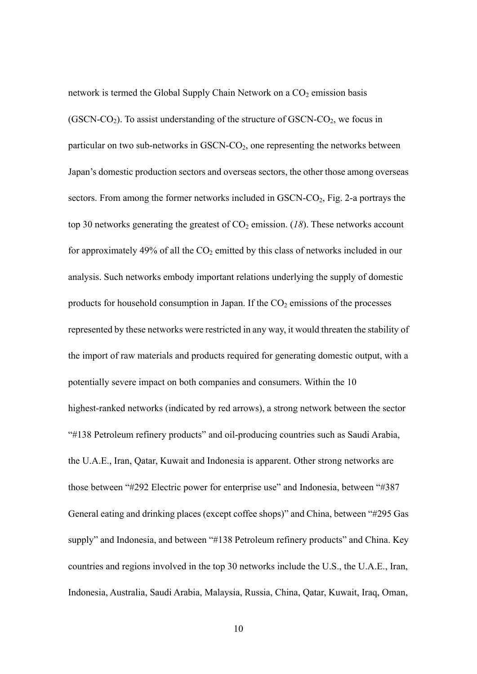network is termed the Global Supply Chain Network on a  $CO<sub>2</sub>$  emission basis  $(GSCN-CO<sub>2</sub>)$ . To assist understanding of the structure of  $GSCN-CO<sub>2</sub>$ , we focus in particular on two sub-networks in  $GSCN$ - $CO<sub>2</sub>$ , one representing the networks between Japan's domestic production sectors and overseas sectors, the other those among overseas sectors. From among the former networks included in  $GSCN-CO<sub>2</sub>$ , Fig. 2-a portrays the top 30 networks generating the greatest of  $CO<sub>2</sub>$  emission. (18). These networks account for approximately 49% of all the  $CO<sub>2</sub>$  emitted by this class of networks included in our analysis. Such networks embody important relations underlying the supply of domestic products for household consumption in Japan. If the  $CO<sub>2</sub>$  emissions of the processes represented by these networks were restricted in any way, it would threaten the stability of the import of raw materials and products required for generating domestic output, with a potentially severe impact on both companies and consumers. Within the 10 highest-ranked networks (indicated by red arrows), a strong network between the sector "#138 Petroleum refinery products" and oil-producing countries such as Saudi Arabia, the U.A.E., Iran, Qatar, Kuwait and Indonesia is apparent. Other strong networks are those between "#292 Electric power for enterprise use" and Indonesia, between "#387 General eating and drinking places (except coffee shops)" and China, between "#295 Gas supply" and Indonesia, and between "#138 Petroleum refinery products" and China. Key countries and regions involved in the top 30 networks include the U.S., the U.A.E., Iran, Indonesia, Australia, Saudi Arabia, Malaysia, Russia, China, Qatar, Kuwait, Iraq, Oman,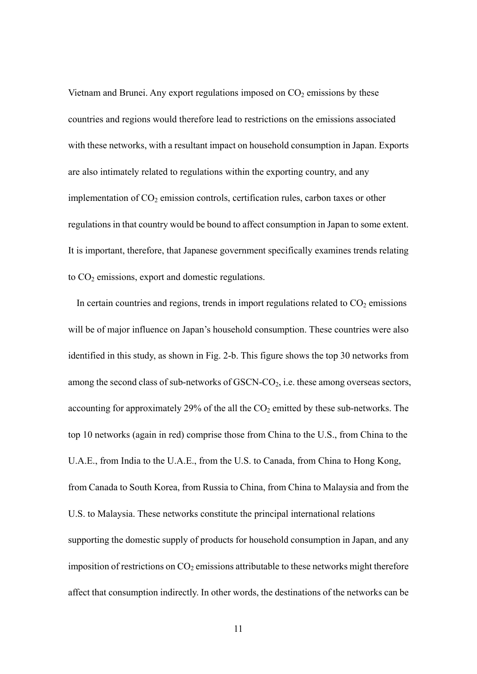Vietnam and Brunei. Any export regulations imposed on  $CO<sub>2</sub>$  emissions by these countries and regions would therefore lead to restrictions on the emissions associated with these networks, with a resultant impact on household consumption in Japan. Exports are also intimately related to regulations within the exporting country, and any implementation of  $CO<sub>2</sub>$  emission controls, certification rules, carbon taxes or other regulations in that country would be bound to affect consumption in Japan to some extent. It is important, therefore, that Japanese government specifically examines trends relating to  $CO<sub>2</sub>$  emissions, export and domestic regulations.

In certain countries and regions, trends in import regulations related to  $CO<sub>2</sub>$  emissions will be of major influence on Japan's household consumption. These countries were also identified in this study, as shown in Fig. 2-b. This figure shows the top 30 networks from among the second class of sub-networks of  $GSCN$ - $CO<sub>2</sub>$ , i.e. these among overseas sectors, accounting for approximately 29% of the all the  $CO<sub>2</sub>$  emitted by these sub-networks. The top 10 networks (again in red) comprise those from China to the U.S., from China to the U.A.E., from India to the U.A.E., from the U.S. to Canada, from China to Hong Kong, from Canada to South Korea, from Russia to China, from China to Malaysia and from the U.S. to Malaysia. These networks constitute the principal international relations supporting the domestic supply of products for household consumption in Japan, and any imposition of restrictions on  $CO<sub>2</sub>$  emissions attributable to these networks might therefore affect that consumption indirectly. In other words, the destinations of the networks can be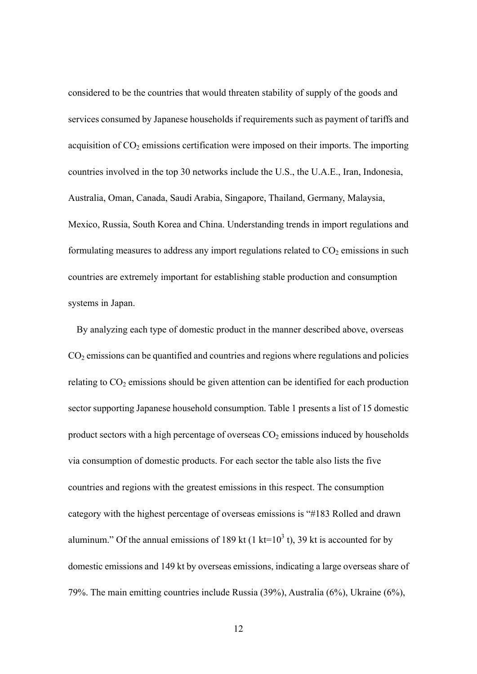considered to be the countries that would threaten stability of supply of the goods and services consumed by Japanese households if requirements such as payment of tariffs and acquisition of  $CO<sub>2</sub>$  emissions certification were imposed on their imports. The importing countries involved in the top 30 networks include the U.S., the U.A.E., Iran, Indonesia, Australia, Oman, Canada, Saudi Arabia, Singapore, Thailand, Germany, Malaysia, Mexico, Russia, South Korea and China. Understanding trends in import regulations and formulating measures to address any import regulations related to  $CO<sub>2</sub>$  emissions in such countries are extremely important for establishing stable production and consumption systems in Japan.

By analyzing each type of domestic product in the manner described above, overseas  $CO<sub>2</sub>$  emissions can be quantified and countries and regions where regulations and policies relating to  $CO<sub>2</sub>$  emissions should be given attention can be identified for each production sector supporting Japanese household consumption. Table 1 presents a list of 15 domestic product sectors with a high percentage of overseas  $CO<sub>2</sub>$  emissions induced by households via consumption of domestic products. For each sector the table also lists the five countries and regions with the greatest emissions in this respect. The consumption category with the highest percentage of overseas emissions is "#183 Rolled and drawn aluminum." Of the annual emissions of 189 kt (1 kt=10<sup>3</sup> t), 39 kt is accounted for by domestic emissions and 149 kt by overseas emissions, indicating a large overseas share of 79%. The main emitting countries include Russia (39%), Australia (6%), Ukraine (6%),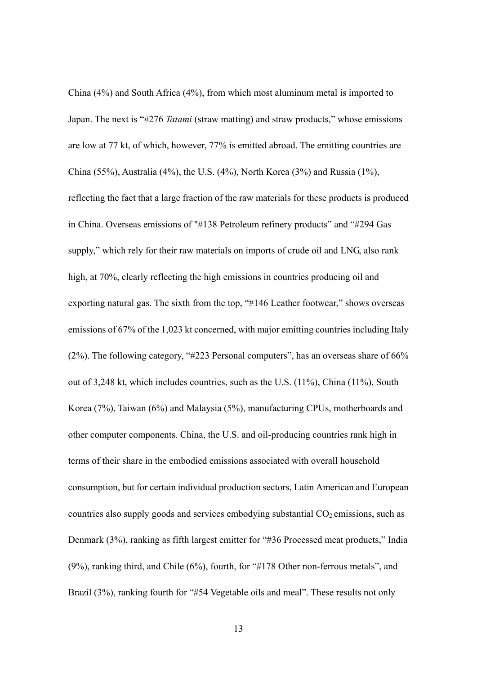China (4%) and South Africa (4%), from which most aluminum metal is imported to Japan. The next is "#276 *Tatami* (straw matting) and straw products," whose emissions are low at 77 kt, of which, however, 77% is emitted abroad. The emitting countries are China (55%), Australia (4%), the U.S. (4%), North Korea (3%) and Russia (1%), reflecting the fact that a large fraction of the raw materials for these products is produced in China. Overseas emissions of "#138 Petroleum refinery products" and "#294 Gas supply," which rely for their raw materials on imports of crude oil and LNG, also rank high, at 70%, clearly reflecting the high emissions in countries producing oil and exporting natural gas. The sixth from the top, "#146 Leather footwear," shows overseas emissions of 67% of the 1,023 kt concerned, with major emitting countries including Italy (2%). The following category, "#223 Personal computers", has an overseas share of 66% out of 3,248 kt, which includes countries, such as the U.S. (11%), China (11%), South Korea (7%), Taiwan (6%) and Malaysia (5%), manufacturing CPUs, motherboards and other computer components. China, the U.S. and oil-producing countries rank high in terms of their share in the embodied emissions associated with overall household consumption, but for certain individual production sectors, Latin American and European countries also supply goods and services embodying substantial  $CO<sub>2</sub>$  emissions, such as Denmark (3%), ranking as fifth largest emitter for "#36 Processed meat products," India (9%), ranking third, and Chile (6%), fourth, for "#178 Other non-ferrous metals", and Brazil (3%), ranking fourth for "#54 Vegetable oils and meal". These results not only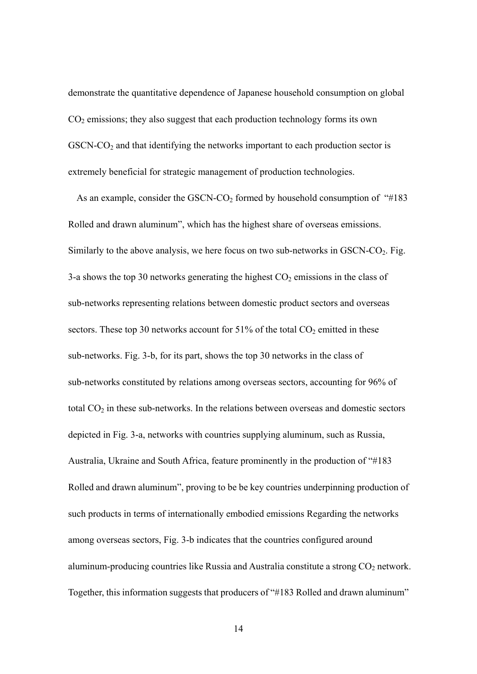demonstrate the quantitative dependence of Japanese household consumption on global  $CO<sub>2</sub>$  emissions; they also suggest that each production technology forms its own  $GSCN-CO<sub>2</sub>$  and that identifying the networks important to each production sector is extremely beneficial for strategic management of production technologies.

As an example, consider the GSCN-CO<sub>2</sub> formed by household consumption of " $#183$ " Rolled and drawn aluminum", which has the highest share of overseas emissions. Similarly to the above analysis, we here focus on two sub-networks in  $GSCN-CO<sub>2</sub>$ . Fig. 3-a shows the top 30 networks generating the highest  $CO<sub>2</sub>$  emissions in the class of sub-networks representing relations between domestic product sectors and overseas sectors. These top 30 networks account for  $51\%$  of the total  $CO<sub>2</sub>$  emitted in these sub-networks. Fig. 3-b, for its part, shows the top 30 networks in the class of sub-networks constituted by relations among overseas sectors, accounting for 96% of total  $CO<sub>2</sub>$  in these sub-networks. In the relations between overseas and domestic sectors depicted in Fig. 3-a, networks with countries supplying aluminum, such as Russia, Australia, Ukraine and South Africa, feature prominently in the production of "#183 Rolled and drawn aluminum", proving to be be key countries underpinning production of such products in terms of internationally embodied emissions Regarding the networks among overseas sectors, Fig. 3-b indicates that the countries configured around aluminum-producing countries like Russia and Australia constitute a strong  $CO<sub>2</sub>$  network. Together, this information suggests that producers of "#183 Rolled and drawn aluminum"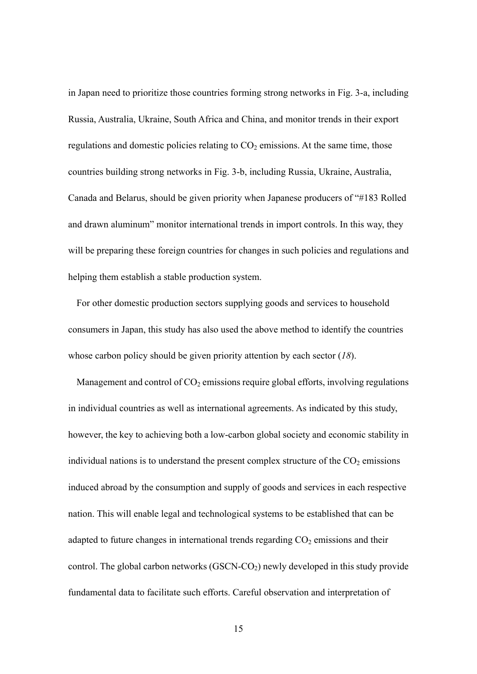in Japan need to prioritize those countries forming strong networks in Fig. 3-a, including Russia, Australia, Ukraine, South Africa and China, and monitor trends in their export regulations and domestic policies relating to  $CO<sub>2</sub>$  emissions. At the same time, those countries building strong networks in Fig. 3-b, including Russia, Ukraine, Australia, Canada and Belarus, should be given priority when Japanese producers of "#183 Rolled and drawn aluminum" monitor international trends in import controls. In this way, they will be preparing these foreign countries for changes in such policies and regulations and helping them establish a stable production system.

For other domestic production sectors supplying goods and services to household consumers in Japan, this study has also used the above method to identify the countries whose carbon policy should be given priority attention by each sector (*18*).

Management and control of  $CO<sub>2</sub>$  emissions require global efforts, involving regulations in individual countries as well as international agreements. As indicated by this study, however, the key to achieving both a low-carbon global society and economic stability in individual nations is to understand the present complex structure of the  $CO<sub>2</sub>$  emissions induced abroad by the consumption and supply of goods and services in each respective nation. This will enable legal and technological systems to be established that can be adapted to future changes in international trends regarding  $CO<sub>2</sub>$  emissions and their control. The global carbon networks  $(GSCN-CO<sub>2</sub>)$  newly developed in this study provide fundamental data to facilitate such efforts. Careful observation and interpretation of

15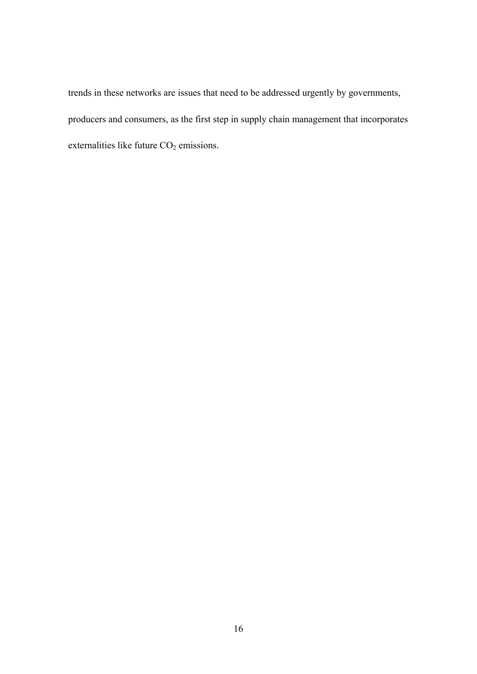trends in these networks are issues that need to be addressed urgently by governments, producers and consumers, as the first step in supply chain management that incorporates externalities like future  $CO<sub>2</sub>$  emissions.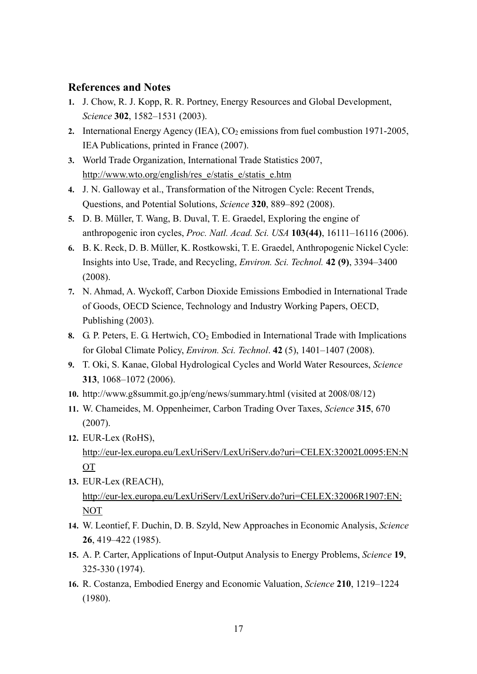## **References and Notes**

- **1.** J. Chow, R. J. Kopp, R. R. Portney, Energy Resources and Global Development, *Science* **302**, 1582–1531 (2003).
- 2. International Energy Agency (IEA),  $CO<sub>2</sub>$  emissions from fuel combustion 1971-2005, IEA Publications, printed in France (2007).
- **3.** World Trade Organization, International Trade Statistics 2007, http://www.wto.org/english/res\_e/statis\_e/statis\_e.htm
- **4.** J. N. Galloway et al., Transformation of the Nitrogen Cycle: Recent Trends, Questions, and Potential Solutions, *Science* **320**, 889–892 (2008).
- **5.** D. B. Müller, T. Wang, B. Duval, T. E. Graedel, Exploring the engine of anthropogenic iron cycles, *Proc. Natl. Acad. Sci. USA* **103(44)**, 16111–16116 (2006).
- **6.** B. K. Reck, D. B. Müller, K. Rostkowski, T. E. Graedel, Anthropogenic Nickel Cycle: Insights into Use, Trade, and Recycling, *Environ. Sci. Technol.* **42 (9)**, 3394–3400 (2008).
- **7.** N. Ahmad, A. Wyckoff, Carbon Dioxide Emissions Embodied in International Trade of Goods, OECD Science, Technology and Industry Working Papers, OECD, Publishing (2003).
- **8.** G. P. Peters, E. G. Hertwich,  $CO<sub>2</sub>$  Embodied in International Trade with Implications for Global Climate Policy, *Environ. Sci. Technol*. **42** (5), 1401–1407 (2008).
- **9.** T. Oki, S. Kanae, Global Hydrological Cycles and World Water Resources, *Science* **313**, 1068–1072 (2006).
- **10.** http://www.g8summit.go.jp/eng/news/summary.html (visited at 2008/08/12)
- **11.** W. Chameides, M. Oppenheimer, Carbon Trading Over Taxes, *Science* **315**, 670 (2007).
- **12.** EUR-Lex (RoHS), http://eur-lex.europa.eu/LexUriServ/LexUriServ.do?uri=CELEX:32002L0095:EN:N OT
- **13.** EUR-Lex (REACH), http://eur-lex.europa.eu/LexUriServ/LexUriServ.do?uri=CELEX:32006R1907:EN: NOT
- **14.** W. Leontief, F. Duchin, D. B. Szyld, New Approaches in Economic Analysis, *Science* **26**, 419–422 (1985).
- **15.** A. P. Carter, Applications of Input-Output Analysis to Energy Problems, *Science* **19**, 325-330 (1974).
- **16.** R. Costanza, Embodied Energy and Economic Valuation, *Science* **210**, 1219–1224 (1980).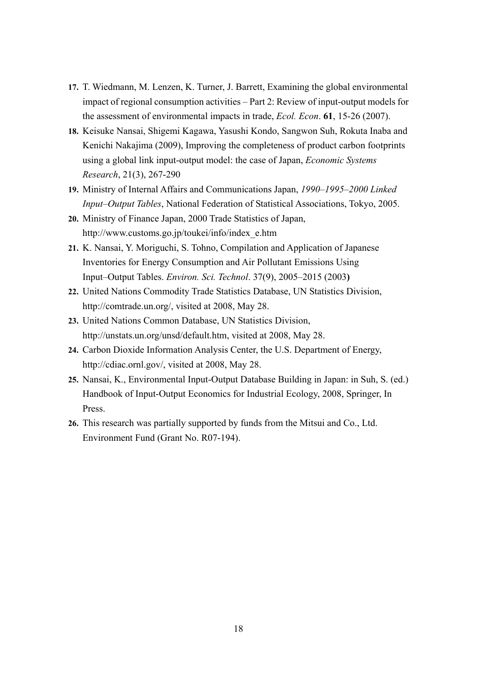- **17.** T. Wiedmann, M. Lenzen, K. Turner, J. Barrett, Examining the global environmental impact of regional consumption activities – Part 2: Review of input-output models for the assessment of environmental impacts in trade, *Ecol. Econ*. **61**, 15-26 (2007).
- **18.** Keisuke Nansai, Shigemi Kagawa, Yasushi Kondo, Sangwon Suh, Rokuta Inaba and Kenichi Nakajima (2009), Improving the completeness of product carbon footprints using a global link input-output model: the case of Japan, *Economic Systems Research*, 21(3), 267-290
- **19.** Ministry of Internal Affairs and Communications Japan, *1990–1995–2000 Linked Input–Output Tables*, National Federation of Statistical Associations, Tokyo, 2005.
- **20.** Ministry of Finance Japan, 2000 Trade Statistics of Japan, http://www.customs.go.jp/toukei/info/index\_e.htm
- **21.** K. Nansai, Y. Moriguchi, S. Tohno, Compilation and Application of Japanese Inventories for Energy Consumption and Air Pollutant Emissions Using Input–Output Tables. *Environ. Sci. Technol*. 37(9), 2005–2015 (2003**)**
- **22.** United Nations Commodity Trade Statistics Database, UN Statistics Division, http://comtrade.un.org/, visited at 2008, May 28.
- **23.** United Nations Common Database, UN Statistics Division, http://unstats.un.org/unsd/default.htm, visited at 2008, May 28.
- **24.** Carbon Dioxide Information Analysis Center, the U.S. Department of Energy, http://cdiac.ornl.gov/, visited at 2008, May 28.
- **25.** Nansai, K., Environmental Input-Output Database Building in Japan: in Suh, S. (ed.) Handbook of Input-Output Economics for Industrial Ecology, 2008, Springer, In Press.
- **26.** This research was partially supported by funds from the Mitsui and Co., Ltd. Environment Fund (Grant No. R07-194).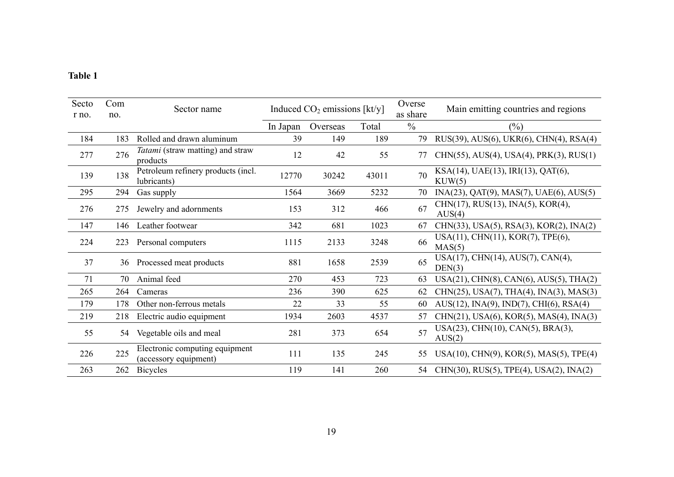#### **Table 1**

| Secto<br>r no. | Com<br>no. | Sector name                                             | Induced $CO2$ emissions [kt/y] |          |       | Overse<br>as share | Main emitting countries and regions          |
|----------------|------------|---------------------------------------------------------|--------------------------------|----------|-------|--------------------|----------------------------------------------|
|                |            |                                                         | In Japan                       | Overseas | Total | $\frac{0}{0}$      | $(\%)$                                       |
| 184            | 183        | Rolled and drawn aluminum                               | 39                             | 149      | 189   | 79                 | RUS(39), AUS(6), UKR(6), CHN(4), RSA(4)      |
| 277            | 276        | <i>Tatami</i> (straw matting) and straw<br>products     | 12                             | 42       | 55    | 77                 | CHN(55), AUS(4), USA(4), PRK(3), RUS(1)      |
| 139            | 138        | Petroleum refinery products (incl.<br>lubricants)       | 12770                          | 30242    | 43011 | 70                 | KSA(14), UAE(13), IRI(13), QAT(6),<br>KUW(5) |
| 295            | 294        | Gas supply                                              | 1564                           | 3669     | 5232  | 70                 | INA(23), QAT(9), MAS(7), UAE(6), AUS(5)      |
| 276            | 275        | Jewelry and adornments                                  | 153                            | 312      | 466   | 67                 | CHN(17), RUS(13), INA(5), KOR(4),<br>AUS(4)  |
| 147            | 146        | Leather footwear                                        | 342                            | 681      | 1023  | 67                 | CHN(33), USA(5), RSA(3), KOR(2), INA(2)      |
| 224            | 223        | Personal computers                                      | 1115                           | 2133     | 3248  | 66                 | USA(11), CHN(11), KOR(7), TPE(6),<br>MAS(5)  |
| 37             | 36         | Processed meat products                                 | 881                            | 1658     | 2539  | 65                 | USA(17), CHN(14), AUS(7), CAN(4),<br>DEN(3)  |
| 71             | 70         | Animal feed                                             | 270                            | 453      | 723   | 63                 | $USA(21), CHN(8), CAN(6), AUS(5), THA(2)$    |
| 265            | 264        | Cameras                                                 | 236                            | 390      | 625   | 62                 | CHN(25), USA(7), THA(4), INA(3), MAS(3)      |
| 179            | 178        | Other non-ferrous metals                                | 22                             | 33       | 55    | 60                 | AUS(12), INA(9), IND(7), CHI(6), RSA(4)      |
| 219            | 218        | Electric audio equipment                                | 1934                           | 2603     | 4537  | 57                 | CHN(21), USA(6), KOR(5), MAS(4), INA(3)      |
| 55             |            | 54 Vegetable oils and meal                              | 281                            | 373      | 654   | 57                 | USA(23), CHN(10), CAN(5), BRA(3),<br>AUS(2)  |
| 226            | 225        | Electronic computing equipment<br>(accessory equipment) | 111                            | 135      | 245   | 55                 | USA(10), CHN(9), KOR(5), MAS(5), TPE(4)      |
| 263            | 262        | <b>Bicycles</b>                                         | 119                            | 141      | 260   | 54                 | CHN(30), RUS(5), TPE(4), USA(2), INA(2)      |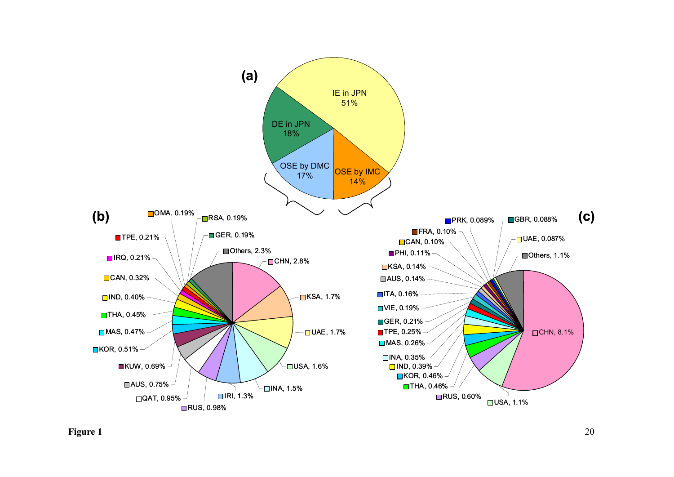

**Figure 1** 20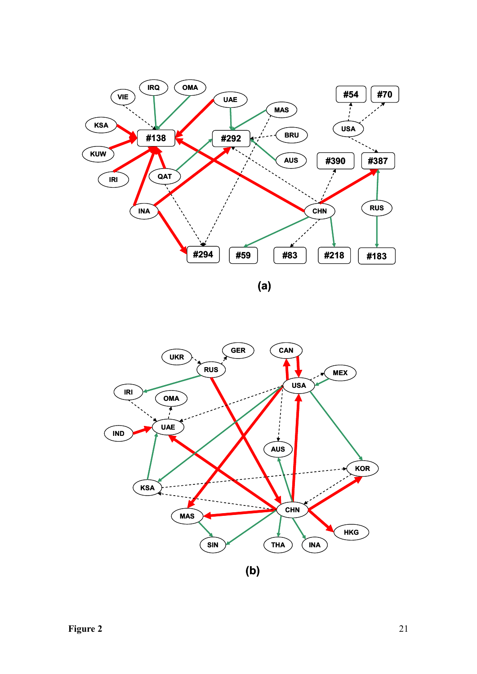

**GER CAN UKR RUS USA IRI OMA UAE IND** J **AUS KOR KSA CHN MAS HKG** SIN **SIN C** THA **INA (b)**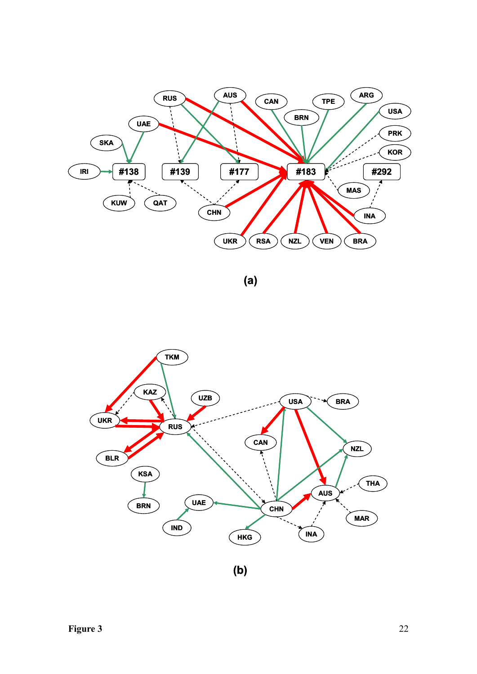

**(a)**

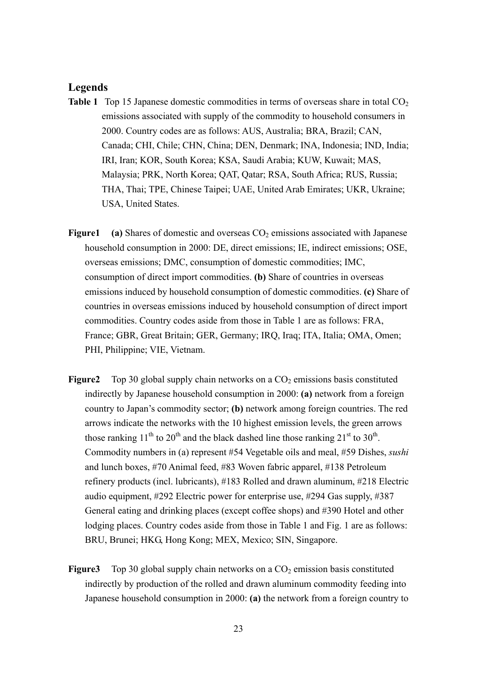#### **Legends**

- **Table 1** Top 15 Japanese domestic commodities in terms of overseas share in total  $CO<sub>2</sub>$ emissions associated with supply of the commodity to household consumers in 2000. Country codes are as follows: AUS, Australia; BRA, Brazil; CAN, Canada; CHI, Chile; CHN, China; DEN, Denmark; INA, Indonesia; IND, India; IRI, Iran; KOR, South Korea; KSA, Saudi Arabia; KUW, Kuwait; MAS, Malaysia; PRK, North Korea; QAT, Qatar; RSA, South Africa; RUS, Russia; THA, Thai; TPE, Chinese Taipei; UAE, United Arab Emirates; UKR, Ukraine; USA, United States.
- **Figure 1** (a) Shares of domestic and overseas  $CO<sub>2</sub>$  emissions associated with Japanese household consumption in 2000: DE, direct emissions; IE, indirect emissions; OSE, overseas emissions; DMC, consumption of domestic commodities; IMC, consumption of direct import commodities. **(b)** Share of countries in overseas emissions induced by household consumption of domestic commodities. **(c)** Share of countries in overseas emissions induced by household consumption of direct import commodities. Country codes aside from those in Table 1 are as follows: FRA, France; GBR, Great Britain; GER, Germany; IRQ, Iraq; ITA, Italia; OMA, Omen; PHI, Philippine; VIE, Vietnam.
- **Figure2** Top 30 global supply chain networks on a CO<sub>2</sub> emissions basis constituted indirectly by Japanese household consumption in 2000: **(a)** network from a foreign country to Japan's commodity sector; **(b)** network among foreign countries. The red arrows indicate the networks with the 10 highest emission levels, the green arrows those ranking  $11^{th}$  to  $20^{th}$  and the black dashed line those ranking  $21^{st}$  to  $30^{th}$ . Commodity numbers in (a) represent #54 Vegetable oils and meal, #59 Dishes, *sushi* and lunch boxes, #70 Animal feed, #83 Woven fabric apparel, #138 Petroleum refinery products (incl. lubricants), #183 Rolled and drawn aluminum, #218 Electric audio equipment, #292 Electric power for enterprise use, #294 Gas supply, #387 General eating and drinking places (except coffee shops) and #390 Hotel and other lodging places. Country codes aside from those in Table 1 and Fig. 1 are as follows: BRU, Brunei; HKG, Hong Kong; MEX, Mexico; SIN, Singapore.
- **Figure3** Top 30 global supply chain networks on a CO<sub>2</sub> emission basis constituted indirectly by production of the rolled and drawn aluminum commodity feeding into Japanese household consumption in 2000: **(a)** the network from a foreign country to